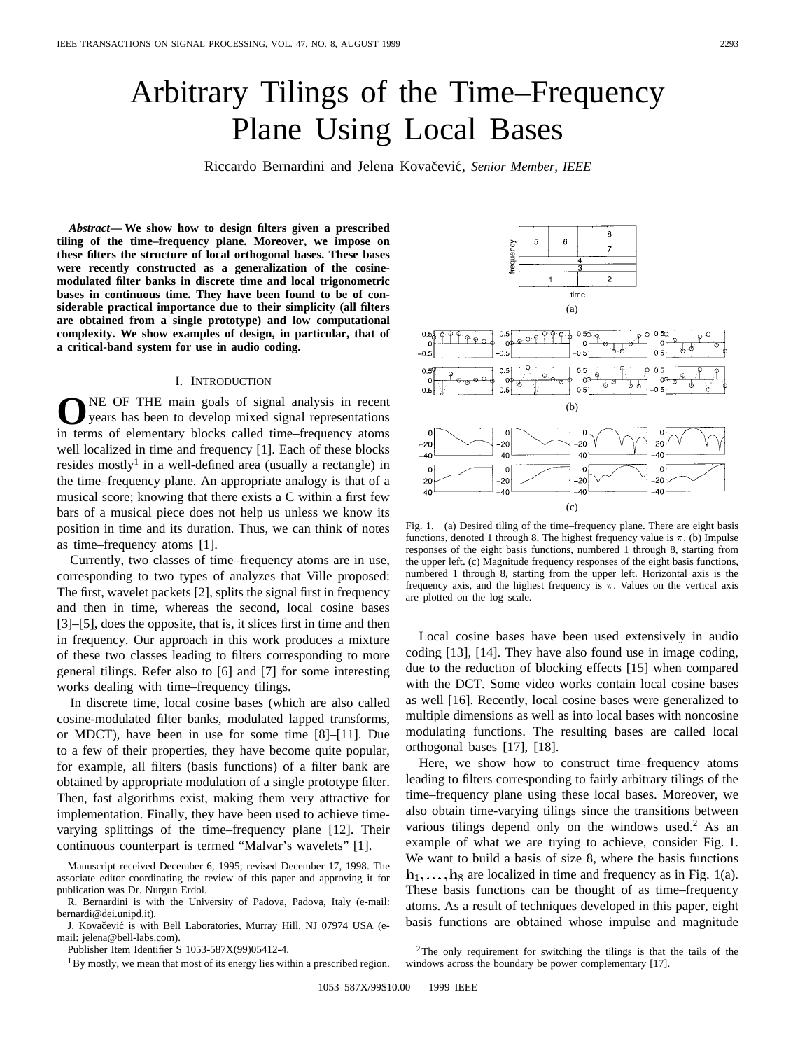# Arbitrary Tilings of the Time–Frequency Plane Using Local Bases

Riccardo Bernardini and Jelena Kovačević, Senior Member, IEEE

*Abstract—* **We show how to design filters given a prescribed tiling of the time–frequency plane. Moreover, we impose on these filters the structure of local orthogonal bases. These bases were recently constructed as a generalization of the cosinemodulated filter banks in discrete time and local trigonometric bases in continuous time. They have been found to be of considerable practical importance due to their simplicity (all filters are obtained from a single prototype) and low computational complexity. We show examples of design, in particular, that of a critical-band system for use in audio coding.**

#### I. INTRODUCTION

**O**NE OF THE main goals of signal analysis in recent<br>years has been to develop mixed signal representations in terms of elementary blocks called time–frequency atoms well localized in time and frequency [1]. Each of these blocks resides mostly<sup>1</sup> in a well-defined area (usually a rectangle) in the time–frequency plane. An appropriate analogy is that of a musical score; knowing that there exists a C within a first few bars of a musical piece does not help us unless we know its position in time and its duration. Thus, we can think of notes as time–frequency atoms [1].

Currently, two classes of time–frequency atoms are in use, corresponding to two types of analyzes that Ville proposed: The first, wavelet packets [2], splits the signal first in frequency and then in time, whereas the second, local cosine bases [3]–[5], does the opposite, that is, it slices first in time and then in frequency. Our approach in this work produces a mixture of these two classes leading to filters corresponding to more general tilings. Refer also to [6] and [7] for some interesting works dealing with time–frequency tilings.

In discrete time, local cosine bases (which are also called cosine-modulated filter banks, modulated lapped transforms, or MDCT), have been in use for some time [8]–[11]. Due to a few of their properties, they have become quite popular, for example, all filters (basis functions) of a filter bank are obtained by appropriate modulation of a single prototype filter. Then, fast algorithms exist, making them very attractive for implementation. Finally, they have been used to achieve timevarying splittings of the time–frequency plane [12]. Their continuous counterpart is termed "Malvar's wavelets" [1].

Manuscript received December 6, 1995; revised December 17, 1998. The associate editor coordinating the review of this paper and approving it for publication was Dr. Nurgun Erdol.



J. Kovačević is with Bell Laboratories, Murray Hill, NJ 07974 USA (email: jelena@bell-labs.com).

Publisher Item Identifier S 1053-587X(99)05412-4.

<sup>1</sup>By mostly, we mean that most of its energy lies within a prescribed region.

Fig. 1. (a) Desired tiling of the time–frequency plane. There are eight basis functions, denoted 1 through 8. The highest frequency value is  $\pi$ . (b) Impulse responses of the eight basis functions, numbered 1 through 8, starting from the upper left. (c) Magnitude frequency responses of the eight basis functions, numbered 1 through 8, starting from the upper left. Horizontal axis is the frequency axis, and the highest frequency is  $\pi$ . Values on the vertical axis are plotted on the log scale.

Local cosine bases have been used extensively in audio coding [13], [14]. They have also found use in image coding, due to the reduction of blocking effects [15] when compared with the DCT. Some video works contain local cosine bases as well [16]. Recently, local cosine bases were generalized to multiple dimensions as well as into local bases with noncosine modulating functions. The resulting bases are called local orthogonal bases [17], [18].

Here, we show how to construct time–frequency atoms leading to filters corresponding to fairly arbitrary tilings of the time–frequency plane using these local bases. Moreover, we also obtain time-varying tilings since the transitions between various tilings depend only on the windows used.<sup>2</sup> As an example of what we are trying to achieve, consider Fig. 1. We want to build a basis of size 8, where the basis functions  $\mathbf{h}_1, \ldots, \mathbf{h}_8$  are localized in time and frequency as in Fig. 1(a). These basis functions can be thought of as time–frequency atoms. As a result of techniques developed in this paper, eight basis functions are obtained whose impulse and magnitude

 $\bf8$ 5 6 requency  $\bar{z}$  $\overline{2}$ time (a)  $0.5 \overline{\phi}$  $0.5$  $9.9.0$ .5<br>(၇<u>) (၁) (</u>၁)  $\Phi$  $\Omega$ ഷ ൻ Ā.  $-0.5$  $-0.5$  $-0.5$ (b)  $\Omega$  $\Omega$  $-20$ -20  $20$  $-20$  $-40$  $-40$  $-40$  $\overline{A}$  $\mathbf{o}$  $\mathbf 0$  $\circ$  $-20$  $-20$  $-20$  $-20$  $-40$  $-40$  $-40$  $-40$  $(c)$ 

<sup>2</sup>The only requirement for switching the tilings is that the tails of the windows across the boundary be power complementary [17].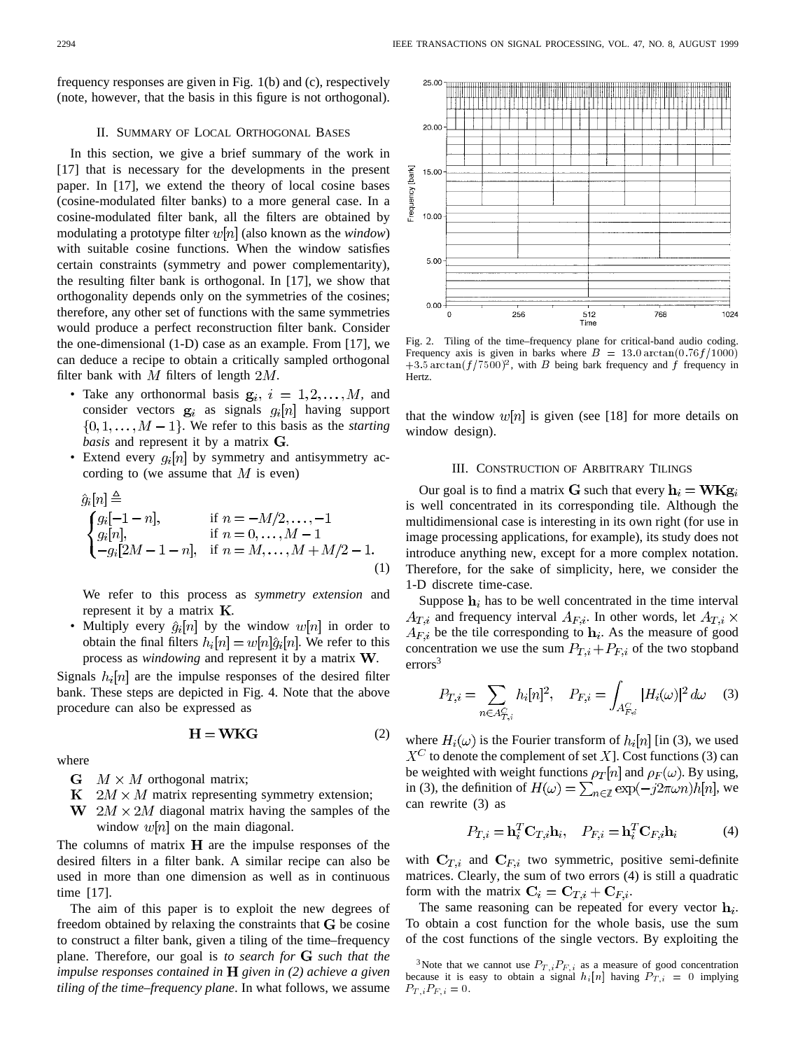frequency responses are given in Fig. 1(b) and (c), respectively (note, however, that the basis in this figure is not orthogonal).

### II. SUMMARY OF LOCAL ORTHOGONAL BASES

In this section, we give a brief summary of the work in [17] that is necessary for the developments in the present paper. In [17], we extend the theory of local cosine bases (cosine-modulated filter banks) to a more general case. In a cosine-modulated filter bank, all the filters are obtained by modulating a prototype filter  $w[n]$  (also known as the *window*) with suitable cosine functions. When the window satisfies certain constraints (symmetry and power complementarity), the resulting filter bank is orthogonal. In [17], we show that orthogonality depends only on the symmetries of the cosines; therefore, any other set of functions with the same symmetries would produce a perfect reconstruction filter bank. Consider the one-dimensional (1-D) case as an example. From [17], we can deduce a recipe to obtain a critically sampled orthogonal filter bank with  $M$  filters of length  $2M$ .

- Take any orthonormal basis  $g_i$ ,  $i = 1, 2, ..., M$ , and consider vectors  $g_i$  as signals  $g_i[n]$  having support  $\{0, 1, \ldots, M-1\}$ . We refer to this basis as the *starting basis* and represent it by a matrix G.
- Extend every  $g_i[n]$  by symmetry and antisymmetry according to (we assume that  $M$  is even)

$$
\hat{g}_i[n] \stackrel{\triangle}{=} \n\begin{cases}\ng_i[-1-n], & \text{if } n = -M/2, \dots, -1 \\
g_i[n], & \text{if } n = 0, \dots, M-1 \\
-g_i[2M-1-n], & \text{if } n = M, \dots, M+M/2-1.\n\end{cases}
$$
\n(1)

We refer to this process as *symmetry extension* and represent it by a matrix  $K$ .

• Multiply every  $\hat{g}_i[n]$  by the window  $w[n]$  in order to obtain the final filters  $h_i[n] = w[n]\hat{g}_i[n]$ . We refer to this process as *windowing* and represent it by a matrix **W**.

Signals  $h_i[n]$  are the impulse responses of the desired filter bank. These steps are depicted in Fig. 4. Note that the above procedure can also be expressed as

$$
H = WKG \tag{2}
$$

where

- $\mathbf{G}$   $M \times M$  orthogonal matrix;
- $K$   $2M \times M$  matrix representing symmetry extension;
- W  $2M \times 2M$  diagonal matrix having the samples of the window  $w[n]$  on the main diagonal.

The columns of matrix  $H$  are the impulse responses of the desired filters in a filter bank. A similar recipe can also be used in more than one dimension as well as in continuous time [17].

The aim of this paper is to exploit the new degrees of freedom obtained by relaxing the constraints that  $G$  be cosine to construct a filter bank, given a tiling of the time–frequency plane. Therefore, our goal is *to search for such that the impulse responses contained in given in (2) achieve a given tiling of the time–frequency plane*. In what follows, we assume



Fig. 2. Tiling of the time–frequency plane for critical-band audio coding. Frequency axis is given in barks where  $B = 13.0 \arctan(0.76 f/1000)$  $+3.5 \arctan(f/7500)^2$ , with B being bark frequency and f frequency in Hertz.

that the window  $w[n]$  is given (see [18] for more details on window design).

#### III. CONSTRUCTION OF ARBITRARY TILINGS

Our goal is to find a matrix G such that every  $h_i = W K g_i$ is well concentrated in its corresponding tile. Although the multidimensional case is interesting in its own right (for use in image processing applications, for example), its study does not introduce anything new, except for a more complex notation. Therefore, for the sake of simplicity, here, we consider the 1-D discrete time-case.

Suppose  $h_i$  has to be well concentrated in the time interval  $A_{T,i}$  and frequency interval  $A_{F,i}$ . In other words, let  $A_{T,i} \times$  $A_{F,i}$  be the tile corresponding to  $\mathbf{h}_i$ . As the measure of good concentration we use the sum  $P_{T,i} + P_{F,i}$  of the two stopband  $\text{errors}^3$ 

$$
P_{T,i} = \sum_{n \in A_{T,i}^C} h_i[n]^2, \quad P_{F,i} = \int_{A_{F,i}^C} |H_i(\omega)|^2 d\omega \quad (3)
$$

where  $H_i(\omega)$  is the Fourier transform of  $h_i[n]$  [in (3), we used  $X^C$  to denote the complement of set X]. Cost functions (3) can be weighted with weight functions  $\rho_T[n]$  and  $\rho_F(\omega)$ . By using, in (3), the definition of  $H(\omega) = \sum_{n \in \mathbb{Z}} \exp(-j2\pi \omega n) h[n]$ , we can rewrite (3) as

$$
P_{T,i} = \mathbf{h}_i^T \mathbf{C}_{T,i} \mathbf{h}_i, \quad P_{F,i} = \mathbf{h}_i^T \mathbf{C}_{F,i} \mathbf{h}_i
$$
 (4)

with  $C_{T,i}$  and  $C_{F,i}$  two symmetric, positive semi-definite matrices. Clearly, the sum of two errors (4) is still a quadratic form with the matrix  $\mathbf{C}_i = \mathbf{C}_{T,i} + \mathbf{C}_{F,i}$ .

The same reasoning can be repeated for every vector  $h_i$ . To obtain a cost function for the whole basis, use the sum of the cost functions of the single vectors. By exploiting the

<sup>&</sup>lt;sup>3</sup>Note that we cannot use  $P_{T,i}P_{F,i}$  as a measure of good concentration because it is easy to obtain a signal  $h_i[n]$  having  $P_{T,i} = 0$  implying  $P_{T,i}P_{F,i} = 0.$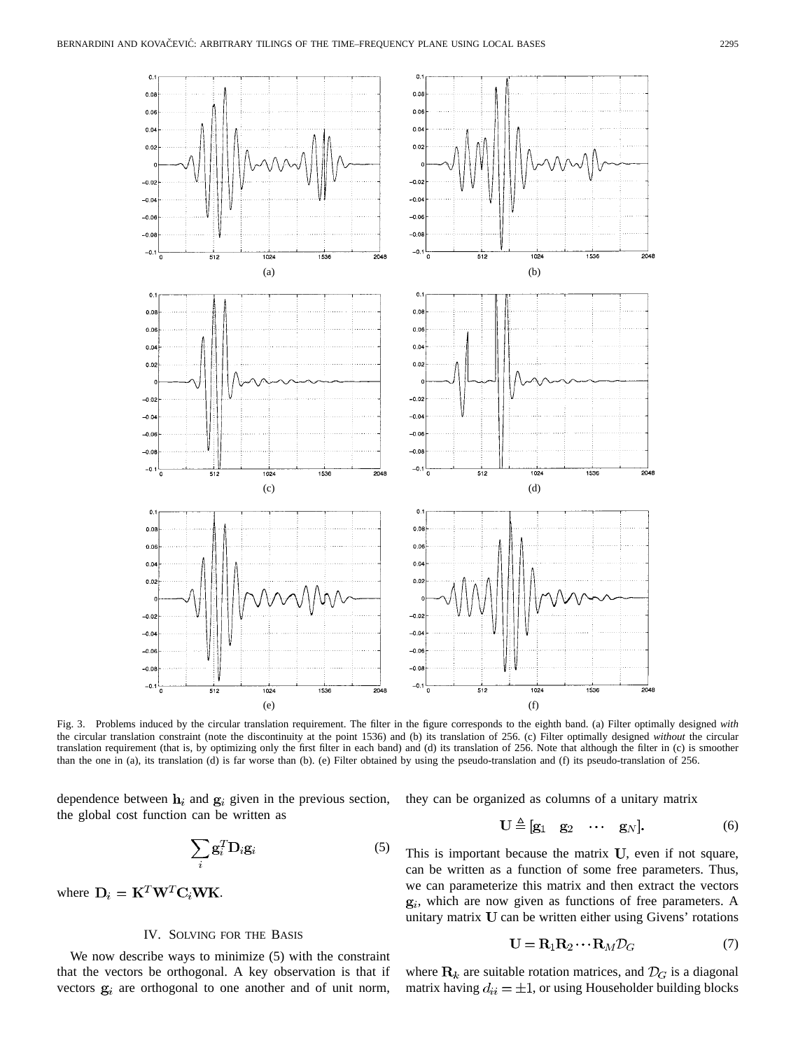

Fig. 3. Problems induced by the circular translation requirement. The filter in the figure corresponds to the eighth band. (a) Filter optimally designed *with* the circular translation constraint (note the discontinuity at the point 1536) and (b) its translation of 256. (c) Filter optimally designed *without* the circular translation requirement (that is, by optimizing only the first filter in each band) and (d) its translation of 256. Note that although the filter in (c) is smoother than the one in (a), its translation (d) is far worse than (b). (e) Filter obtained by using the pseudo-translation and (f) its pseudo-translation of 256.

dependence between  $h_i$  and  $g_i$  given in the previous section, the global cost function can be written as

$$
\sum_{i} \mathbf{g}_i^T \mathbf{D}_i \mathbf{g}_i \tag{5}
$$

where  $D_i = \mathbf{K}^T \mathbf{W}^T \mathbf{C}_i \mathbf{W} \mathbf{K}$ .

## IV. SOLVING FOR THE BASIS

We now describe ways to minimize (5) with the constraint that the vectors be orthogonal. A key observation is that if vectors  $g_i$  are orthogonal to one another and of unit norm, they can be organized as columns of a unitary matrix

$$
\mathbf{U} \triangleq [\mathbf{g}_1 \quad \mathbf{g}_2 \quad \cdots \quad \mathbf{g}_N]. \tag{6}
$$

This is important because the matrix  $U$ , even if not square, can be written as a function of some free parameters. Thus, we can parameterize this matrix and then extract the vectors  $g_i$ , which are now given as functions of free parameters. A unitary matrix  $U$  can be written either using Givens' rotations

$$
\mathbf{U} = \mathbf{R}_1 \mathbf{R}_2 \cdots \mathbf{R}_M \mathcal{D}_G \tag{7}
$$

where  $\mathbf{R}_k$  are suitable rotation matrices, and  $\mathcal{D}_G$  is a diagonal matrix having  $d_{ii} = \pm 1$ , or using Householder building blocks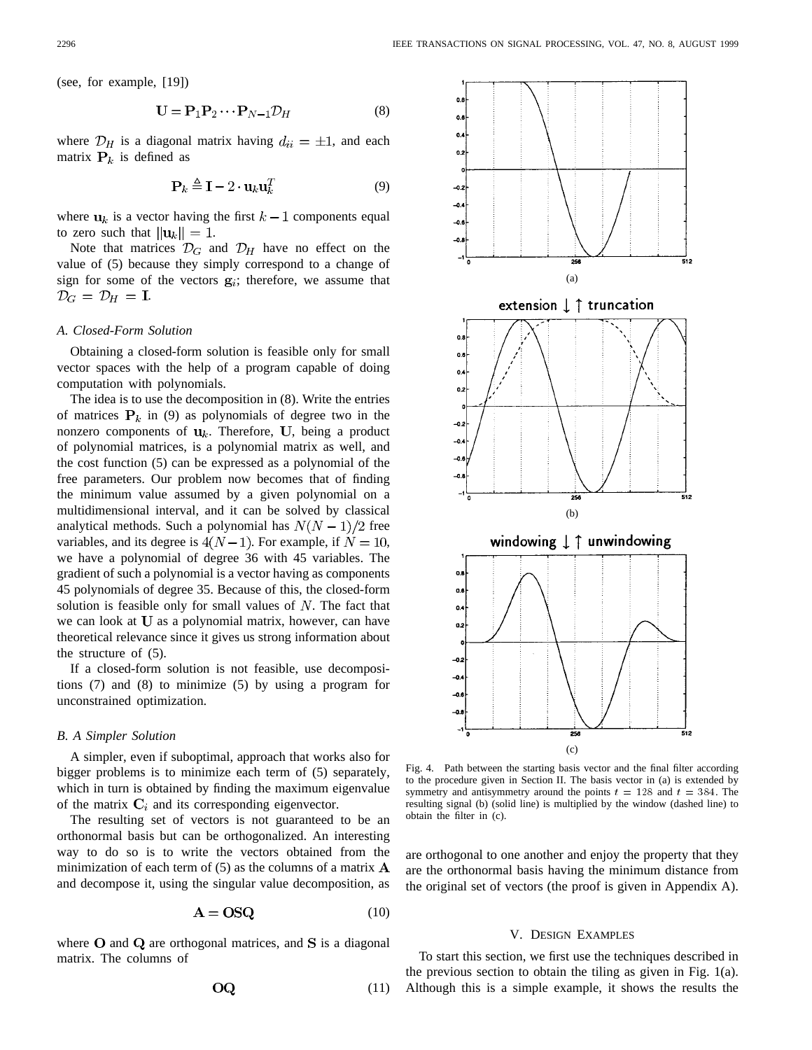(see, for example, [19])

$$
\mathbf{U} = \mathbf{P}_1 \mathbf{P}_2 \cdots \mathbf{P}_{N-1} \mathcal{D}_H \tag{8}
$$

where  $\mathcal{D}_H$  is a diagonal matrix having  $d_{ii} = \pm 1$ , and each matrix  $P_k$  is defined as

$$
\mathbf{P}_k \triangleq \mathbf{I} - 2 \cdot \mathbf{u}_k \mathbf{u}_k^T \tag{9}
$$

where  $u_k$  is a vector having the first  $k-1$  components equal to zero such that  $||\mathbf{u}_k|| = 1$ .

Note that matrices  $\mathcal{D}_G$  and  $\mathcal{D}_H$  have no effect on the value of (5) because they simply correspond to a change of sign for some of the vectors  $g_i$ ; therefore, we assume that  $\mathcal{D}_G = \mathcal{D}_H = \mathbf{I}.$ 

#### *A. Closed-Form Solution*

Obtaining a closed-form solution is feasible only for small vector spaces with the help of a program capable of doing computation with polynomials.

The idea is to use the decomposition in (8). Write the entries of matrices  $P_k$  in (9) as polynomials of degree two in the nonzero components of  $\mathbf{u}_k$ . Therefore, U, being a product of polynomial matrices, is a polynomial matrix as well, and the cost function (5) can be expressed as a polynomial of the free parameters. Our problem now becomes that of finding the minimum value assumed by a given polynomial on a multidimensional interval, and it can be solved by classical analytical methods. Such a polynomial has  $N(N-1)/2$  free variables, and its degree is  $4(N-1)$ . For example, if  $N = 10$ , we have a polynomial of degree 36 with 45 variables. The gradient of such a polynomial is a vector having as components 45 polynomials of degree 35. Because of this, the closed-form solution is feasible only for small values of  $N$ . The fact that we can look at  **as a polynomial matrix, however, can have** theoretical relevance since it gives us strong information about the structure of (5).

If a closed-form solution is not feasible, use decompositions (7) and (8) to minimize (5) by using a program for unconstrained optimization.

#### *B. A Simpler Solution*

A simpler, even if suboptimal, approach that works also for bigger problems is to minimize each term of (5) separately, which in turn is obtained by finding the maximum eigenvalue of the matrix  $C_i$  and its corresponding eigenvector.

The resulting set of vectors is not guaranteed to be an orthonormal basis but can be orthogonalized. An interesting way to do so is to write the vectors obtained from the minimization of each term of  $(5)$  as the columns of a matrix  $\bf{A}$ and decompose it, using the singular value decomposition, as

$$
A = OSQ \tag{10}
$$

where  $O$  and  $Q$  are orthogonal matrices, and  $S$  is a diagonal matrix. The columns of

$$
OQ \tag{11}
$$



Fig. 4. Path between the starting basis vector and the final filter according to the procedure given in Section II. The basis vector in (a) is extended by symmetry and antisymmetry around the points  $t = 128$  and  $t = 384$ . The resulting signal (b) (solid line) is multiplied by the window (dashed line) to obtain the filter in (c).

are orthogonal to one another and enjoy the property that they are the orthonormal basis having the minimum distance from the original set of vectors (the proof is given in Appendix A).

#### V. DESIGN EXAMPLES

To start this section, we first use the techniques described in the previous section to obtain the tiling as given in Fig. 1(a). Although this is a simple example, it shows the results the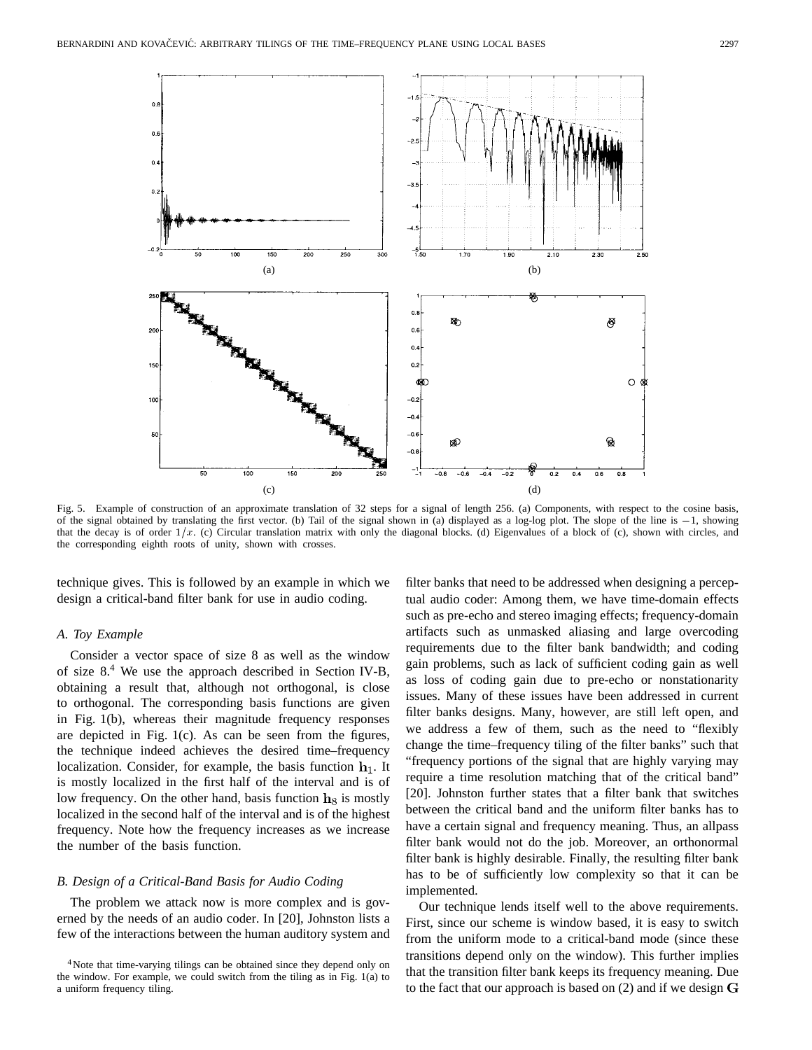

Fig. 5. Example of construction of an approximate translation of 32 steps for a signal of length 256. (a) Components, with respect to the cosine basis, (c)<br>Fig. 5. Example of construction of an approximate translation of 32 steps for a signal of length 256. (a) Components, with respect to the cosine basis,<br>of the signal obtained by translating the first vector. (b) Tail o of the signal obtained by translating the first vector. (b) Tail of the signal shown in (a) displayed as a log-log plot. The slope of the line is  $-1$ , showing that the decay is of order  $1/x$ . (c) Circular translation mat the corresponding eighth roots of unity, shown with crosses.

technique gives. This is followed by an example in which we design a critical-band filter bank for use in audio coding.

### *A. Toy Example*

Consider a vector space of size 8 as well as the window of size 8.<sup>4</sup> We use the approach described in Section IV-B, obtaining a result that, although not orthogonal, is close to orthogonal. The corresponding basis functions are given in Fig. 1(b), whereas their magnitude frequency responses are depicted in Fig. 1(c). As can be seen from the figures, the technique indeed achieves the desired time–frequency localization. Consider, for example, the basis function  $\mathbf{h}_1$ . It is mostly localized in the first half of the interval and is of low frequency. On the other hand, basis function  $\mathbf{h}_8$  is mostly localized in the second half of the interval and is of the highest frequency. Note how the frequency increases as we increase the number of the basis function.

## *B. Design of a Critical-Band Basis for Audio Coding*

The problem we attack now is more complex and is governed by the needs of an audio coder. In [20], Johnston lists a few of the interactions between the human auditory system and filter banks that need to be addressed when designing a perceptual audio coder: Among them, we have time-domain effects such as pre-echo and stereo imaging effects; frequency-domain artifacts such as unmasked aliasing and large overcoding requirements due to the filter bank bandwidth; and coding gain problems, such as lack of sufficient coding gain as well as loss of coding gain due to pre-echo or nonstationarity issues. Many of these issues have been addressed in current filter banks designs. Many, however, are still left open, and we address a few of them, such as the need to "flexibly change the time–frequency tiling of the filter banks" such that "frequency portions of the signal that are highly varying may require a time resolution matching that of the critical band" [20]. Johnston further states that a filter bank that switches between the critical band and the uniform filter banks has to have a certain signal and frequency meaning. Thus, an allpass filter bank would not do the job. Moreover, an orthonormal filter bank is highly desirable. Finally, the resulting filter bank has to be of sufficiently low complexity so that it can be implemented.

Our technique lends itself well to the above requirements. First, since our scheme is window based, it is easy to switch from the uniform mode to a critical-band mode (since these transitions depend only on the window). This further implies that the transition filter bank keeps its frequency meaning. Due to the fact that our approach is based on  $(2)$  and if we design  $$ 

<sup>&</sup>lt;sup>4</sup>Note that time-varying tilings can be obtained since they depend only on the window. For example, we could switch from the tiling as in Fig. 1(a) to a uniform frequency tiling.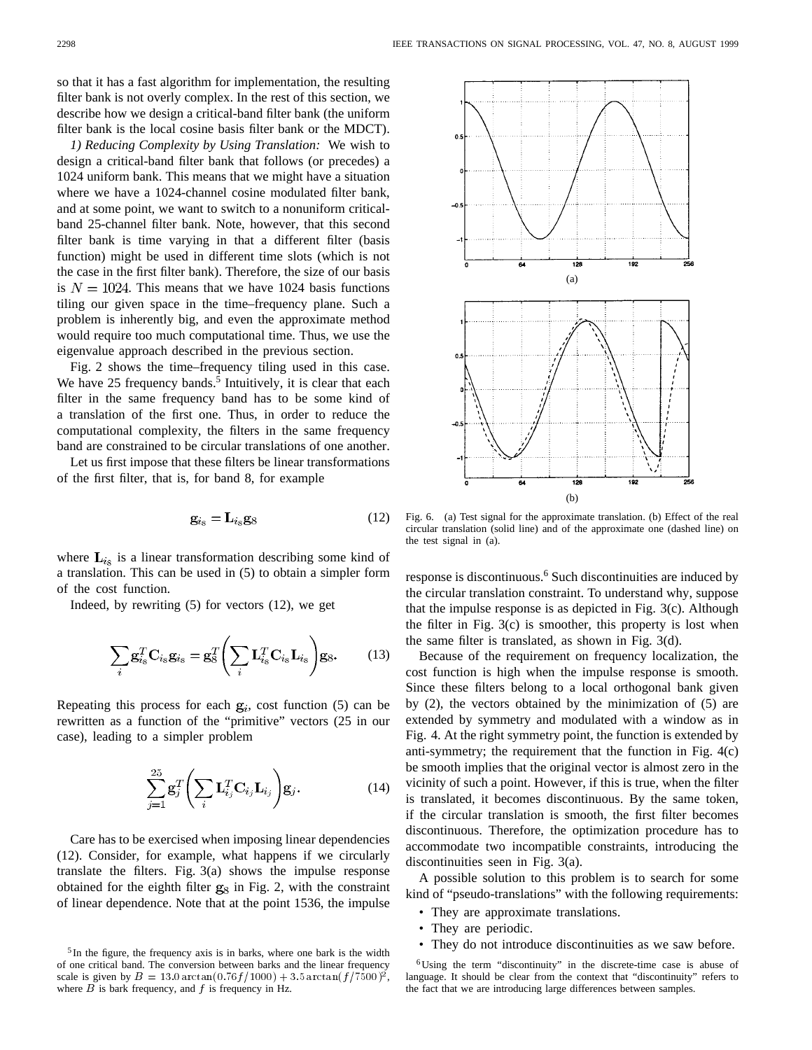so that it has a fast algorithm for implementation, the resulting filter bank is not overly complex. In the rest of this section, we describe how we design a critical-band filter bank (the uniform filter bank is the local cosine basis filter bank or the MDCT).

*1) Reducing Complexity by Using Translation:* We wish to design a critical-band filter bank that follows (or precedes) a 1024 uniform bank. This means that we might have a situation where we have a 1024-channel cosine modulated filter bank, and at some point, we want to switch to a nonuniform criticalband 25-channel filter bank. Note, however, that this second filter bank is time varying in that a different filter (basis function) might be used in different time slots (which is not the case in the first filter bank). Therefore, the size of our basis is  $N = 1024$ . This means that we have 1024 basis functions tiling our given space in the time–frequency plane. Such a problem is inherently big, and even the approximate method would require too much computational time. Thus, we use the eigenvalue approach described in the previous section.

Fig. 2 shows the time–frequency tiling used in this case. We have  $25$  frequency bands.<sup>5</sup> Intuitively, it is clear that each filter in the same frequency band has to be some kind of a translation of the first one. Thus, in order to reduce the computational complexity, the filters in the same frequency band are constrained to be circular translations of one another.

Let us first impose that these filters be linear transformations of the first filter, that is, for band 8, for example

$$
\mathbf{g}_{i_8} = \mathbf{L}_{i_8} \mathbf{g}_8 \tag{12}
$$

where  $\mathbf{L}_{i_{s}}$  is a linear transformation describing some kind of a translation. This can be used in (5) to obtain a simpler form of the cost function.

Indeed, by rewriting (5) for vectors (12), we get

$$
\sum_{i} \mathbf{g}_{i_{8}}^{T} \mathbf{C}_{i_{8}} \mathbf{g}_{i_{8}} = \mathbf{g}_{8}^{T} \left( \sum_{i} \mathbf{L}_{i_{8}}^{T} \mathbf{C}_{i_{8}} \mathbf{L}_{i_{8}} \right) \mathbf{g}_{8}.
$$
 (13)

Repeating this process for each  $g_i$ , cost function (5) can be rewritten as a function of the "primitive" vectors (25 in our case), leading to a simpler problem

$$
\sum_{j=1}^{25} \mathbf{g}_j^T \left( \sum_i \mathbf{L}_{i_j}^T \mathbf{C}_{i_j} \mathbf{L}_{i_j} \right) \mathbf{g}_j.
$$
 (14)

Care has to be exercised when imposing linear dependencies (12). Consider, for example, what happens if we circularly translate the filters. Fig. 3(a) shows the impulse response obtained for the eighth filter  $g_8$  in Fig. 2, with the constraint of linear dependence. Note that at the point 1536, the impulse



Fig. 6. (a) Test signal for the approximate translation. (b) Effect of the real circular translation (solid line) and of the approximate one (dashed line) on the test signal in (a).

response is discontinuous.<sup>6</sup> Such discontinuities are induced by the circular translation constraint. To understand why, suppose that the impulse response is as depicted in Fig. 3(c). Although the filter in Fig. 3(c) is smoother, this property is lost when the same filter is translated, as shown in Fig. 3(d).

Because of the requirement on frequency localization, the cost function is high when the impulse response is smooth. Since these filters belong to a local orthogonal bank given by (2), the vectors obtained by the minimization of (5) are extended by symmetry and modulated with a window as in Fig. 4. At the right symmetry point, the function is extended by anti-symmetry; the requirement that the function in Fig. 4(c) be smooth implies that the original vector is almost zero in the vicinity of such a point. However, if this is true, when the filter is translated, it becomes discontinuous. By the same token, if the circular translation is smooth, the first filter becomes discontinuous. Therefore, the optimization procedure has to accommodate two incompatible constraints, introducing the discontinuities seen in Fig. 3(a).

A possible solution to this problem is to search for some kind of "pseudo-translations" with the following requirements:

- They are approximate translations.
- They are periodic.
- They do not introduce discontinuities as we saw before.

<sup>&</sup>lt;sup>5</sup> In the figure, the frequency axis is in barks, where one bark is the width of one critical band. The conversion between barks and the linear frequency scale is given by  $B = 13.0 \arctan(0.76 f/1000) + 3.5 \arctan(f/7500)^2$ , where  $B$  is bark frequency, and  $f$  is frequency in Hz.

 $6$ Using the term "discontinuity" in the discrete-time case is abuse of language. It should be clear from the context that "discontinuity" refers to the fact that we are introducing large differences between samples.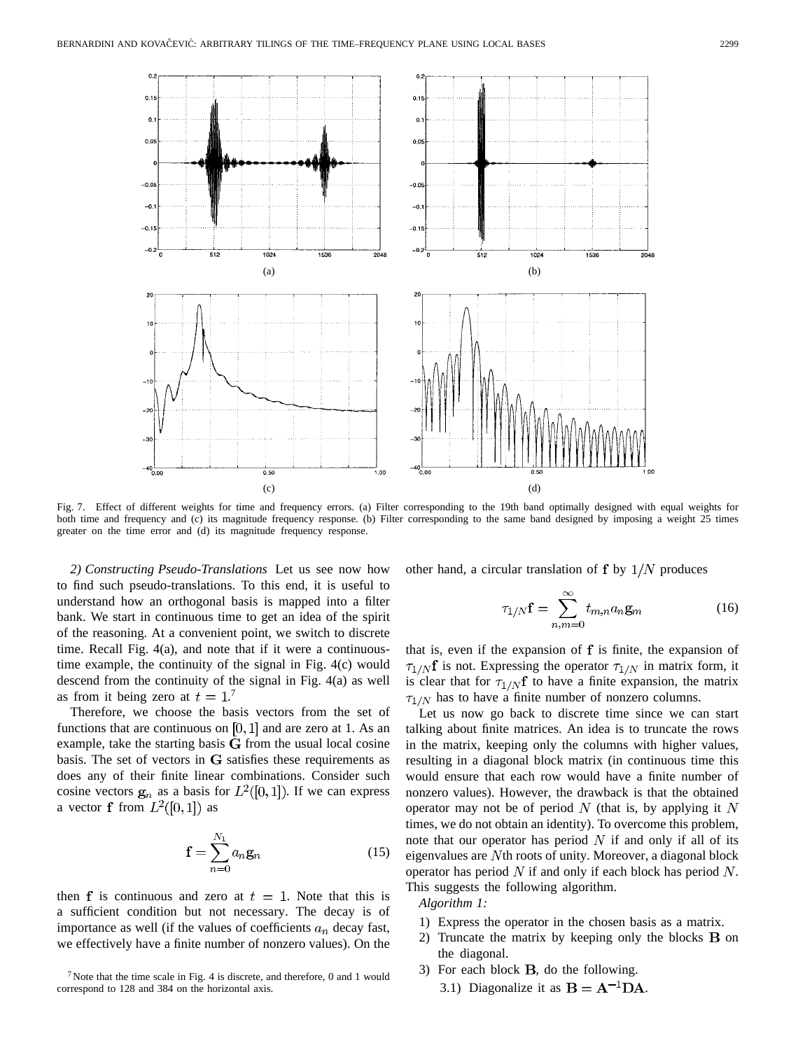

Fig. 7. Effect of different weights for time and frequency errors. (a) Filter corresponding to the 19th band optimally designed with equal weights for both time and frequency and (c) its magnitude frequency response. (b) Filter corresponding to the same band designed by imposing a weight 25 times greater on the time error and (d) its magnitude frequency response.

*2) Constructing Pseudo-Translations* Let us see now how to find such pseudo-translations. To this end, it is useful to understand how an orthogonal basis is mapped into a filter bank. We start in continuous time to get an idea of the spirit of the reasoning. At a convenient point, we switch to discrete time. Recall Fig. 4(a), and note that if it were a continuoustime example, the continuity of the signal in Fig. 4(c) would descend from the continuity of the signal in Fig. 4(a) as well as from it being zero at  $t = 1$ .

Therefore, we choose the basis vectors from the set of functions that are continuous on  $[0, 1]$  and are zero at 1. As an example, take the starting basis  $G$  from the usual local cosine basis. The set of vectors in  $G$  satisfies these requirements as does any of their finite linear combinations. Consider such cosine vectors  $g_n$  as a basis for  $L^2([0,1])$ . If we can express a vector **f** from  $L^2([0,1])$  as

$$
\mathbf{f} = \sum_{n=0}^{N_1} a_n \mathbf{g}_n \tag{15}
$$

then f is continuous and zero at  $t = 1$ . Note that this is a sufficient condition but not necessary. The decay is of importance as well (if the values of coefficients  $a_n$  decay fast, we effectively have a finite number of nonzero values). On the

other hand, a circular translation of  $f$  by  $1/N$  produces

$$
\tau_{1/N} \mathbf{f} = \sum_{n,m=0}^{\infty} t_{m,n} a_n \mathbf{g}_m \tag{16}
$$

that is, even if the expansion of  $f$  is finite, the expansion of  $\tau_{1/N}$ f is not. Expressing the operator  $\tau_{1/N}$  in matrix form, it is clear that for  $\tau_{1/N}f$  to have a finite expansion, the matrix  $\tau_{1/N}$  has to have a finite number of nonzero columns.

Let us now go back to discrete time since we can start talking about finite matrices. An idea is to truncate the rows in the matrix, keeping only the columns with higher values, resulting in a diagonal block matrix (in continuous time this would ensure that each row would have a finite number of nonzero values). However, the drawback is that the obtained operator may not be of period  $N$  (that is, by applying it  $N$ times, we do not obtain an identity). To overcome this problem, note that our operator has period  $N$  if and only if all of its eigenvalues are  $N$ th roots of unity. Moreover, a diagonal block operator has period  $N$  if and only if each block has period  $N$ . This suggests the following algorithm.

*Algorithm 1:*

- 1) Express the operator in the chosen basis as a matrix.
- 2) Truncate the matrix by keeping only the blocks  $\bf{B}$  on the diagonal.
- 3) For each block  $B$ , do the following.
	- 3.1) Diagonalize it as  $B = A^{-1}DA$ .

<sup>&</sup>lt;sup>7</sup>Note that the time scale in Fig. 4 is discrete, and therefore, 0 and 1 would correspond to 128 and 384 on the horizontal axis.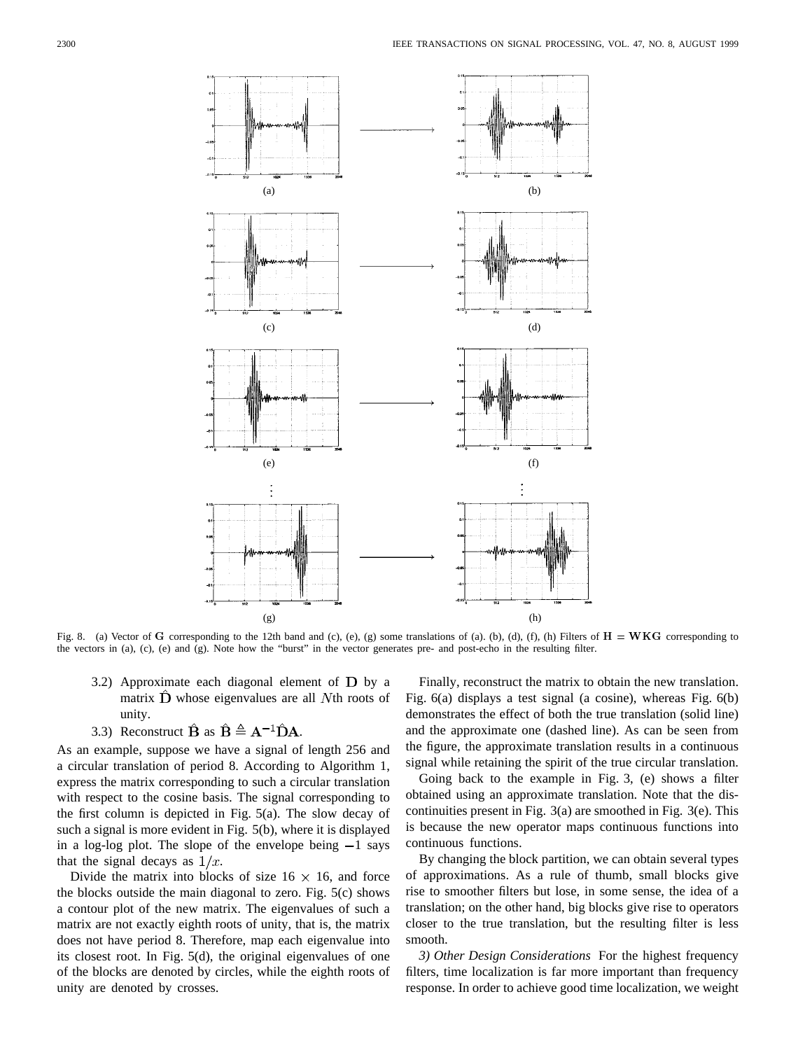

Fig. 8. (a) Vector of G corresponding to the 12th band and (c), (e), (g) some translations of (a). (b), (d), (f), (h) Filters of  $H = WKG$  corresponding to the vectors in (a), (c), (e) and (g). Note how the "burst" in the vector generates pre- and post-echo in the resulting filter.

- 3.2) Approximate each diagonal element of  $\bf{D}$  by a matrix  $\hat{\mathbf{D}}$  whose eigenvalues are all Nth roots of unity.
- 3.3) Reconstruct  $\hat{\mathbf{B}}$  as  $\hat{\mathbf{B}} \triangleq \mathbf{A}^{-1} \hat{\mathbf{D}} \mathbf{A}$ .

As an example, suppose we have a signal of length 256 and a circular translation of period 8. According to Algorithm 1, express the matrix corresponding to such a circular translation with respect to the cosine basis. The signal corresponding to the first column is depicted in Fig. 5(a). The slow decay of such a signal is more evident in Fig. 5(b), where it is displayed in a log-log plot. The slope of the envelope being  $-1$  says that the signal decays as  $1/x$ .

Divide the matrix into blocks of size  $16 \times 16$ , and force the blocks outside the main diagonal to zero. Fig. 5(c) shows a contour plot of the new matrix. The eigenvalues of such a matrix are not exactly eighth roots of unity, that is, the matrix does not have period 8. Therefore, map each eigenvalue into its closest root. In Fig. 5(d), the original eigenvalues of one of the blocks are denoted by circles, while the eighth roots of unity are denoted by crosses.

Finally, reconstruct the matrix to obtain the new translation. Fig. 6(a) displays a test signal (a cosine), whereas Fig. 6(b) demonstrates the effect of both the true translation (solid line) and the approximate one (dashed line). As can be seen from the figure, the approximate translation results in a continuous signal while retaining the spirit of the true circular translation.

Going back to the example in Fig. 3, (e) shows a filter obtained using an approximate translation. Note that the discontinuities present in Fig. 3(a) are smoothed in Fig. 3(e). This is because the new operator maps continuous functions into continuous functions.

By changing the block partition, we can obtain several types of approximations. As a rule of thumb, small blocks give rise to smoother filters but lose, in some sense, the idea of a translation; on the other hand, big blocks give rise to operators closer to the true translation, but the resulting filter is less smooth.

*3) Other Design Considerations* For the highest frequency filters, time localization is far more important than frequency response. In order to achieve good time localization, we weight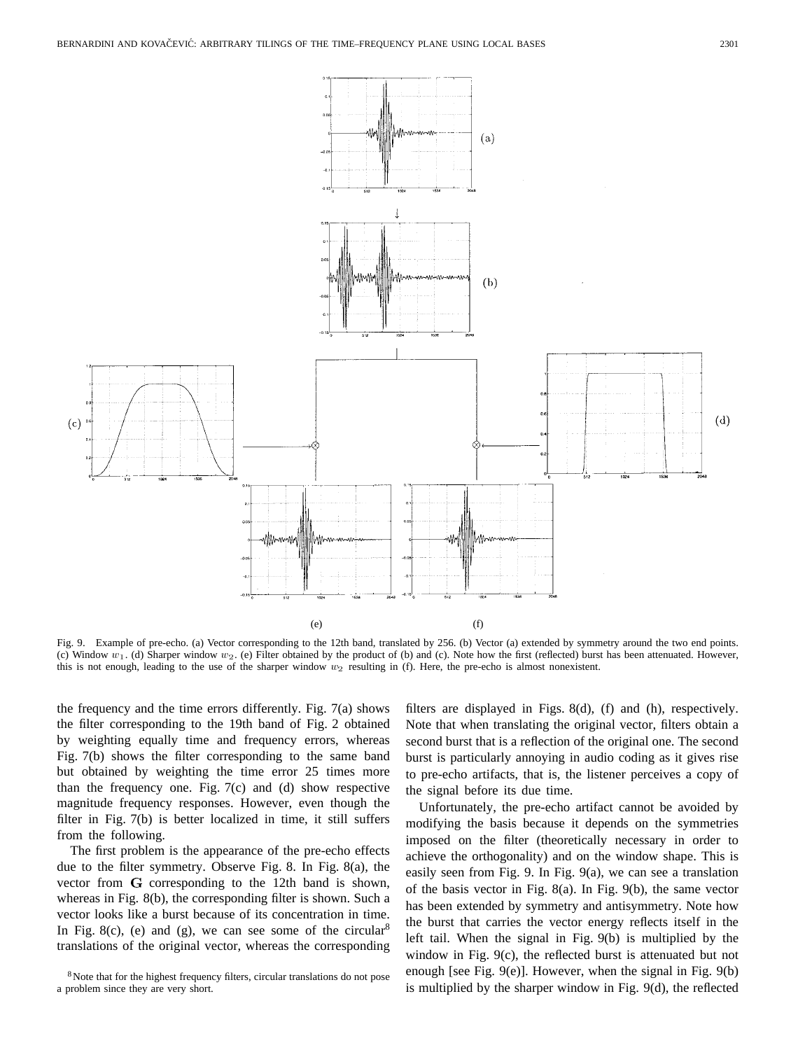

Fig. 9. Example of pre-echo. (a) Vector corresponding to the 12th band, translated by 256. (b) Vector (a) extended by symmetry around the two end points. (c) Window  $w_1$ . (d) Sharper window  $w_2$ . (e) Filter obtained by the product of (b) and (c). Note how the first (reflected) burst has been attenuated. However, this is not enough, leading to the use of the sharper window  $w_2$  resulting in (f). Here, the pre-echo is almost nonexistent.

the frequency and the time errors differently. Fig. 7(a) shows the filter corresponding to the 19th band of Fig. 2 obtained by weighting equally time and frequency errors, whereas Fig. 7(b) shows the filter corresponding to the same band but obtained by weighting the time error 25 times more than the frequency one. Fig.  $7(c)$  and  $(d)$  show respective magnitude frequency responses. However, even though the filter in Fig. 7(b) is better localized in time, it still suffers from the following.

The first problem is the appearance of the pre-echo effects due to the filter symmetry. Observe Fig. 8. In Fig. 8(a), the vector from  $G$  corresponding to the 12th band is shown, whereas in Fig. 8(b), the corresponding filter is shown. Such a vector looks like a burst because of its concentration in time. In Fig. 8(c), (e) and (g), we can see some of the circular<sup>8</sup> translations of the original vector, whereas the corresponding

filters are displayed in Figs. 8(d), (f) and (h), respectively. Note that when translating the original vector, filters obtain a second burst that is a reflection of the original one. The second burst is particularly annoying in audio coding as it gives rise to pre-echo artifacts, that is, the listener perceives a copy of the signal before its due time.

Unfortunately, the pre-echo artifact cannot be avoided by modifying the basis because it depends on the symmetries imposed on the filter (theoretically necessary in order to achieve the orthogonality) and on the window shape. This is easily seen from Fig. 9. In Fig. 9(a), we can see a translation of the basis vector in Fig. 8(a). In Fig. 9(b), the same vector has been extended by symmetry and antisymmetry. Note how the burst that carries the vector energy reflects itself in the left tail. When the signal in Fig. 9(b) is multiplied by the window in Fig. 9(c), the reflected burst is attenuated but not enough [see Fig. 9(e)]. However, when the signal in Fig. 9(b) is multiplied by the sharper window in Fig. 9(d), the reflected

<sup>&</sup>lt;sup>8</sup>Note that for the highest frequency filters, circular translations do not pose a problem since they are very short.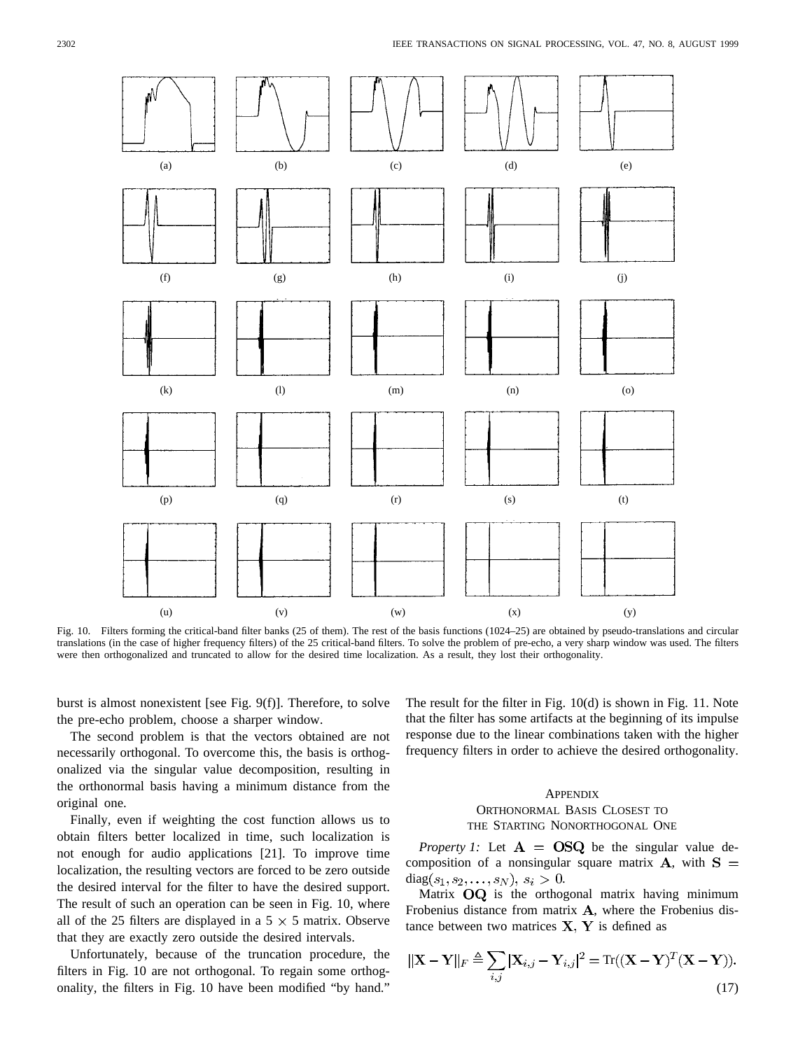

Fig. 10. Filters forming the critical-band filter banks (25 of them). The rest of the basis functions (1024–25) are obtained by pseudo-translations and circular translations (in the case of higher frequency filters) of the 25 critical-band filters. To solve the problem of pre-echo, a very sharp window was used. The filters were then orthogonalized and truncated to allow for the desired time localization. As a result, they lost their orthogonality.

burst is almost nonexistent [see Fig. 9(f)]. Therefore, to solve the pre-echo problem, choose a sharper window.

The second problem is that the vectors obtained are not necessarily orthogonal. To overcome this, the basis is orthogonalized via the singular value decomposition, resulting in the orthonormal basis having a minimum distance from the original one.

Finally, even if weighting the cost function allows us to obtain filters better localized in time, such localization is not enough for audio applications [21]. To improve time localization, the resulting vectors are forced to be zero outside the desired interval for the filter to have the desired support. The result of such an operation can be seen in Fig. 10, where all of the 25 filters are displayed in a  $5 \times 5$  matrix. Observe that they are exactly zero outside the desired intervals.

Unfortunately, because of the truncation procedure, the filters in Fig. 10 are not orthogonal. To regain some orthogonality, the filters in Fig. 10 have been modified "by hand."

The result for the filter in Fig. 10(d) is shown in Fig. 11. Note that the filter has some artifacts at the beginning of its impulse response due to the linear combinations taken with the higher frequency filters in order to achieve the desired orthogonality.

## **APPENDIX** ORTHONORMAL BASIS CLOSEST TO THE STARTING NONORTHOGONAL ONE

*Property 1:* Let  $\mathbf{A} = \mathbf{OSQ}$  be the singular value decomposition of a nonsingular square matrix  $A$ , with  $S =$  $diag(s_1, s_2, \ldots, s_N), s_i > 0.$ 

Matrix  $OQ$  is the orthogonal matrix having minimum Frobenius distance from matrix  $A$ , where the Frobenius distance between two matrices  $X, Y$  is defined as

$$
\|\mathbf{X} - \mathbf{Y}\|_{F} \triangleq \sum_{i,j} |\mathbf{X}_{i,j} - \mathbf{Y}_{i,j}|^{2} = \text{Tr}((\mathbf{X} - \mathbf{Y})^{T}(\mathbf{X} - \mathbf{Y})).
$$
\n(17)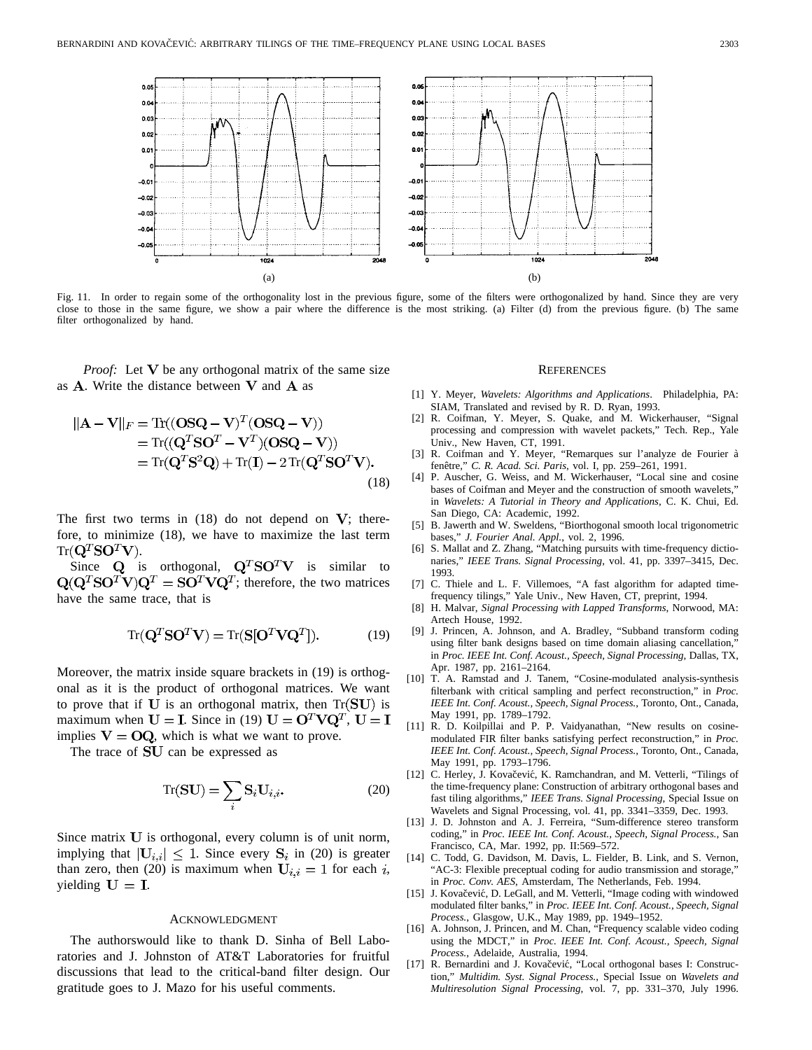

Fig. 11. In order to regain some of the orthogonality lost in the previous figure, some of the filters were orthogonalized by hand. Since they are very close to those in the same figure, we show a pair where the difference is the most striking. (a) Filter (d) from the previous figure. (b) The same filter orthogonalized by hand.

*Proof:* Let  $V$  be any orthogonal matrix of the same size as  $A$ . Write the distance between  $V$  and  $A$  as

$$
\|\mathbf{A} - \mathbf{V}\|_{F} = \text{Tr}((\mathbf{OSQ} - \mathbf{V})^{T}(\mathbf{OSQ} - \mathbf{V}))
$$
  
=  $\text{Tr}((\mathbf{Q}^{T}\mathbf{SO}^{T} - \mathbf{V}^{T})(\mathbf{OSQ} - \mathbf{V}))$   
=  $\text{Tr}(\mathbf{Q}^{T}\mathbf{S}^{2}\mathbf{Q}) + \text{Tr}(\mathbf{I}) - 2\text{Tr}(\mathbf{Q}^{T}\mathbf{SO}^{T}\mathbf{V}).$  (18)

The first two terms in  $(18)$  do not depend on  $V$ ; therefore, to minimize (18), we have to maximize the last term  $Tr({\bf Q}^T{\bf S}{\bf O}^T{\bf V}).$ 

Since **Q** is orthogonal,  $Q^T S O^T V$  is similar to  $\mathbf{Q}(\mathbf{Q}^T \mathbf{S} \mathbf{O}^T \mathbf{V}) \mathbf{Q}^T = \mathbf{S} \mathbf{O}^T \mathbf{V} \mathbf{Q}^T$ ; therefore, the two matrices have the same trace, that is

$$
Tr(\mathbf{Q}^T \mathbf{S} \mathbf{O}^T \mathbf{V}) = Tr(\mathbf{S} [\mathbf{O}^T \mathbf{V} \mathbf{Q}^T]).
$$
 (19)

Moreover, the matrix inside square brackets in (19) is orthogonal as it is the product of orthogonal matrices. We want to prove that if  $U$  is an orthogonal matrix, then Tr( $SU$ ) is maximum when  $U = I$ . Since in (19)  $U = O^T V Q^T$ ,  $U = I$ implies  $V = OQ$ , which is what we want to prove.

The trace of SU can be expressed as

$$
\operatorname{Tr}(\mathbf{SU}) = \sum_{i} \mathbf{S}_{i} \mathbf{U}_{i,i}.
$$
 (20)

Since matrix  $U$  is orthogonal, every column is of unit norm, implying that  $|\mathbf{U}_{i,i}| \leq 1$ . Since every  $\mathbf{S}_i$  in (20) is greater than zero, then (20) is maximum when  $U_{i,i} = 1$  for each i, vielding  $U = I$ .

#### ACKNOWLEDGMENT

The authorswould like to thank D. Sinha of Bell Laboratories and J. Johnston of AT&T Laboratories for fruitful discussions that lead to the critical-band filter design. Our gratitude goes to J. Mazo for his useful comments.

#### **REFERENCES**

- [1] Y. Meyer, *Wavelets: Algorithms and Applications*. Philadelphia, PA: SIAM, Translated and revised by R. D. Ryan, 1993.
- [2] R. Coifman, Y. Meyer, S. Quake, and M. Wickerhauser, "Signal processing and compression with wavelet packets," Tech. Rep., Yale Univ., New Haven, CT, 1991.
- [3] R. Coifman and Y. Meyer, "Remarques sur l'analyze de Fourier à fenêtre," C. R. Acad. Sci. Paris, vol. I, pp. 259-261, 1991.
- [4] P. Auscher, G. Weiss, and M. Wickerhauser, "Local sine and cosine bases of Coifman and Meyer and the construction of smooth wavelets,' in *Wavelets: A Tutorial in Theory and Applications*, C. K. Chui, Ed. San Diego, CA: Academic, 1992.
- [5] B. Jawerth and W. Sweldens, "Biorthogonal smooth local trigonometric bases," *J. Fourier Anal. Appl.*, vol. 2, 1996.
- [6] S. Mallat and Z. Zhang, "Matching pursuits with time-frequency dictionaries," *IEEE Trans. Signal Processing*, vol. 41, pp. 3397–3415, Dec. 1993.
- [7] C. Thiele and L. F. Villemoes, "A fast algorithm for adapted timefrequency tilings," Yale Univ., New Haven, CT, preprint, 1994.
- [8] H. Malvar, *Signal Processing with Lapped Transforms*, Norwood, MA: Artech House, 1992.
- [9] J. Princen, A. Johnson, and A. Bradley, "Subband transform coding using filter bank designs based on time domain aliasing cancellation, in *Proc. IEEE Int. Conf. Acoust., Speech, Signal Processing*, Dallas, TX, Apr. 1987, pp. 2161–2164.
- [10] T. A. Ramstad and J. Tanem, "Cosine-modulated analysis-synthesis filterbank with critical sampling and perfect reconstruction," in *Proc. IEEE Int. Conf. Acoust., Speech, Signal Process.*, Toronto, Ont., Canada, May 1991, pp. 1789–1792.
- [11] R. D. Koilpillai and P. P. Vaidyanathan, "New results on cosinemodulated FIR filter banks satisfying perfect reconstruction," in *Proc. IEEE Int. Conf. Acoust., Speech, Signal Process.*, Toronto, Ont., Canada, May 1991, pp. 1793–1796.
- [12] C. Herley, J. Kovačević, K. Ramchandran, and M. Vetterli, "Tilings of the time-frequency plane: Construction of arbitrary orthogonal bases and fast tiling algorithms," *IEEE Trans. Signal Processing*, Special Issue on Wavelets and Signal Processing, vol. 41, pp. 3341–3359, Dec. 1993.
- [13] J. D. Johnston and A. J. Ferreira, "Sum-difference stereo transform coding," in *Proc. IEEE Int. Conf. Acoust., Speech, Signal Process.*, San Francisco, CA, Mar. 1992, pp. II:569–572.
- [14] C. Todd, G. Davidson, M. Davis, L. Fielder, B. Link, and S. Vernon, "AC-3: Flexible preceptual coding for audio transmission and storage," in *Proc. Conv. AES*, Amsterdam, The Netherlands, Feb. 1994.
- [15] J. Kovačević, D. LeGall, and M. Vetterli, "Image coding with windowed modulated filter banks," in *Proc. IEEE Int. Conf. Acoust., Speech, Signal Process.*, Glasgow, U.K., May 1989, pp. 1949–1952.
- [16] A. Johnson, J. Princen, and M. Chan, "Frequency scalable video coding using the MDCT," in *Proc. IEEE Int. Conf. Acoust., Speech, Signal Process.*, Adelaide, Australia, 1994.
- [17] R. Bernardini and J. Kovačević, "Local orthogonal bases I: Construction," *Multidim. Syst. Signal Process.*, Special Issue on *Wavelets and Multiresolution Signal Processing*, vol. 7, pp. 331–370, July 1996.